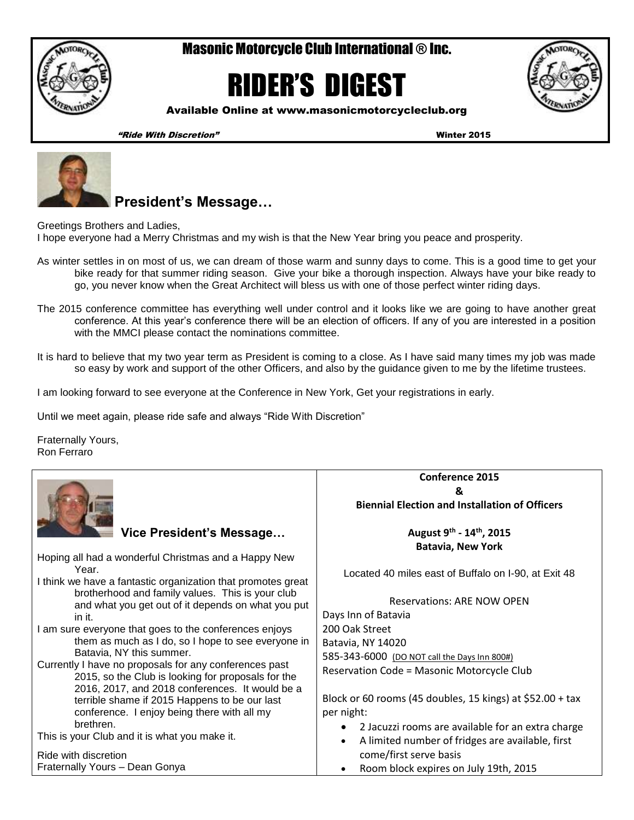

## Masonic Motorcycle Club International ® Inc.

# RIDER'S DIGEST



Available Online at www.masonicmotorcycleclub.org

"Ride With Discretion" Winter 2015



# **President's Message…**

Greetings Brothers and Ladies, I hope everyone had a Merry Christmas and my wish is that the New Year bring you peace and prosperity.

- As winter settles in on most of us, we can dream of those warm and sunny days to come. This is a good time to get your bike ready for that summer riding season. Give your bike a thorough inspection. Always have your bike ready to go, you never know when the Great Architect will bless us with one of those perfect winter riding days.
- The 2015 conference committee has everything well under control and it looks like we are going to have another great conference. At this year's conference there will be an election of officers. If any of you are interested in a position with the MMCI please contact the nominations committee.
- It is hard to believe that my two year term as President is coming to a close. As I have said many times my job was made so easy by work and support of the other Officers, and also by the guidance given to me by the lifetime trustees.

I am looking forward to see everyone at the Conference in New York, Get your registrations in early.

Until we meet again, please ride safe and always "Ride With Discretion"

Fraternally Yours, Ron Ferraro

|                                                                                                        | Conference 2015                                                |  |  |
|--------------------------------------------------------------------------------------------------------|----------------------------------------------------------------|--|--|
|                                                                                                        | &                                                              |  |  |
|                                                                                                        | <b>Biennial Election and Installation of Officers</b>          |  |  |
| Vice President's Message                                                                               | August 9th - 14th, 2015                                        |  |  |
|                                                                                                        | <b>Batavia, New York</b>                                       |  |  |
| Hoping all had a wonderful Christmas and a Happy New                                                   |                                                                |  |  |
| Year.<br>I think we have a fantastic organization that promotes great                                  | Located 40 miles east of Buffalo on I-90, at Exit 48           |  |  |
| brotherhood and family values. This is your club<br>and what you get out of it depends on what you put | <b>Reservations: ARE NOW OPEN</b>                              |  |  |
| in it.                                                                                                 | Days Inn of Batavia                                            |  |  |
| I am sure everyone that goes to the conferences enjoys                                                 | 200 Oak Street                                                 |  |  |
| them as much as I do, so I hope to see everyone in                                                     | Batavia, NY 14020                                              |  |  |
| Batavia, NY this summer.                                                                               | 585-343-6000 (DO NOT call the Days Inn 800#)                   |  |  |
| Currently I have no proposals for any conferences past                                                 | Reservation Code = Masonic Motorcycle Club                     |  |  |
| 2015, so the Club is looking for proposals for the                                                     |                                                                |  |  |
| 2016, 2017, and 2018 conferences. It would be a                                                        | Block or 60 rooms (45 doubles, 15 kings) at \$52.00 + tax      |  |  |
| terrible shame if 2015 Happens to be our last                                                          |                                                                |  |  |
| conference. I enjoy being there with all my<br>brethren.                                               | per night:                                                     |  |  |
| This is your Club and it is what you make it.                                                          | 2 Jacuzzi rooms are available for an extra charge<br>$\bullet$ |  |  |
|                                                                                                        | A limited number of fridges are available, first<br>$\bullet$  |  |  |
| Ride with discretion                                                                                   | come/first serve basis                                         |  |  |
| Fraternally Yours - Dean Gonya                                                                         | Room block expires on July 19th, 2015                          |  |  |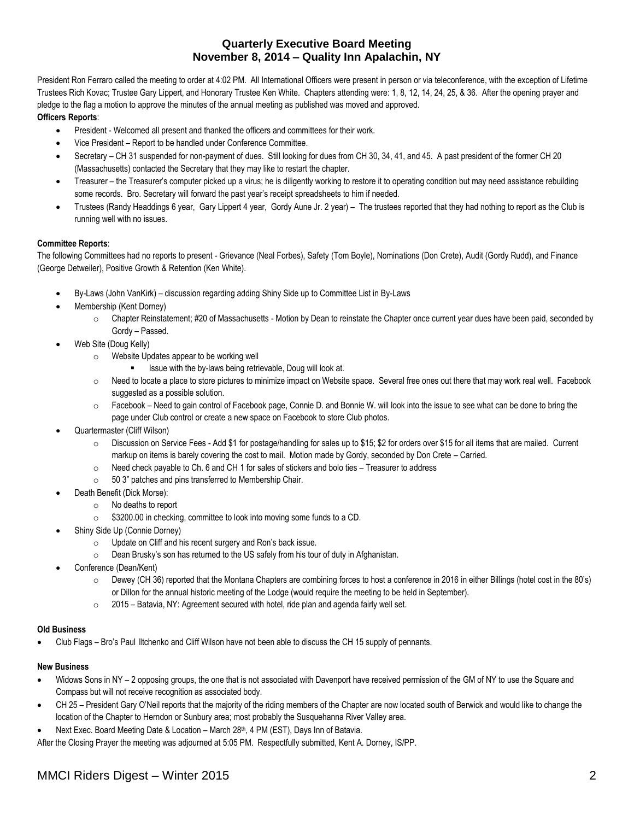#### **Quarterly Executive Board Meeting November 8, 2014 – Quality Inn Apalachin, NY**

President Ron Ferraro called the meeting to order at 4:02 PM. All International Officers were present in person or via teleconference, with the exception of Lifetime Trustees Rich Kovac; Trustee Gary Lippert, and Honorary Trustee Ken White. Chapters attending were: 1, 8, 12, 14, 24, 25, & 36. After the opening prayer and pledge to the flag a motion to approve the minutes of the annual meeting as published was moved and approved.

#### **Officers Reports**:

- President Welcomed all present and thanked the officers and committees for their work.
- Vice President Report to be handled under Conference Committee.
- Secretary CH 31 suspended for non-payment of dues. Still looking for dues from CH 30, 34, 41, and 45. A past president of the former CH 20 (Massachusetts) contacted the Secretary that they may like to restart the chapter.
- Treasurer the Treasurer's computer picked up a virus; he is diligently working to restore it to operating condition but may need assistance rebuilding some records. Bro. Secretary will forward the past year's receipt spreadsheets to him if needed.
- Trustees (Randy Headdings 6 year, Gary Lippert 4 year, Gordy Aune Jr. 2 year) The trustees reported that they had nothing to report as the Club is running well with no issues.

#### **Committee Reports**:

The following Committees had no reports to present - Grievance (Neal Forbes), Safety (Tom Boyle), Nominations (Don Crete), Audit (Gordy Rudd), and Finance (George Detweiler), Positive Growth & Retention (Ken White).

- By-Laws (John VanKirk) discussion regarding adding Shiny Side up to Committee List in By-Laws
- Membership (Kent Dorney)
	- $\circ$  Chapter Reinstatement; #20 of Massachusetts Motion by Dean to reinstate the Chapter once current year dues have been paid, seconded by Gordy – Passed.
- Web Site (Doug Kelly)
	- o Website Updates appear to be working well
		- **EXECUTE:** Issue with the by-laws being retrievable, Doug will look at.
	- $\circ$  Need to locate a place to store pictures to minimize impact on Website space. Several free ones out there that may work real well. Facebook suggested as a possible solution.
	- o Facebook Need to gain control of Facebook page, Connie D. and Bonnie W. will look into the issue to see what can be done to bring the page under Club control or create a new space on Facebook to store Club photos.
- Quartermaster (Cliff Wilson)
	- $\circ$  Discussion on Service Fees Add \$1 for postage/handling for sales up to \$15; \$2 for orders over \$15 for all items that are mailed. Current markup on items is barely covering the cost to mail. Motion made by Gordy, seconded by Don Crete – Carried.
	- $\circ$  Need check payable to Ch. 6 and CH 1 for sales of stickers and bolo ties Treasurer to address
	- o 50 3" patches and pins transferred to Membership Chair.
- Death Benefit (Dick Morse):
	- o No deaths to report
	- o \$3200.00 in checking, committee to look into moving some funds to a CD.
- Shiny Side Up (Connie Dorney)
	- o Update on Cliff and his recent surgery and Ron's back issue.
	- o Dean Brusky's son has returned to the US safely from his tour of duty in Afghanistan.
- Conference (Dean/Kent)
	- $\circ$  Dewey (CH 36) reported that the Montana Chapters are combining forces to host a conference in 2016 in either Billings (hotel cost in the 80's) or Dillon for the annual historic meeting of the Lodge (would require the meeting to be held in September).
	- $\circ$  2015 Batavia, NY: Agreement secured with hotel, ride plan and agenda fairly well set.

#### **Old Business**

Club Flags – Bro's Paul Iltchenko and Cliff Wilson have not been able to discuss the CH 15 supply of pennants.

#### **New Business**

- Widows Sons in NY 2 opposing groups, the one that is not associated with Davenport have received permission of the GM of NY to use the Square and Compass but will not receive recognition as associated body.
- CH 25 President Gary O'Neil reports that the majority of the riding members of the Chapter are now located south of Berwick and would like to change the location of the Chapter to Herndon or Sunbury area; most probably the Susquehanna River Valley area.
- Next Exec. Board Meeting Date & Location March 28<sup>th</sup>, 4 PM (EST), Days Inn of Batavia.

After the Closing Prayer the meeting was adjourned at 5:05 PM. Respectfully submitted, Kent A. Dorney, IS/PP.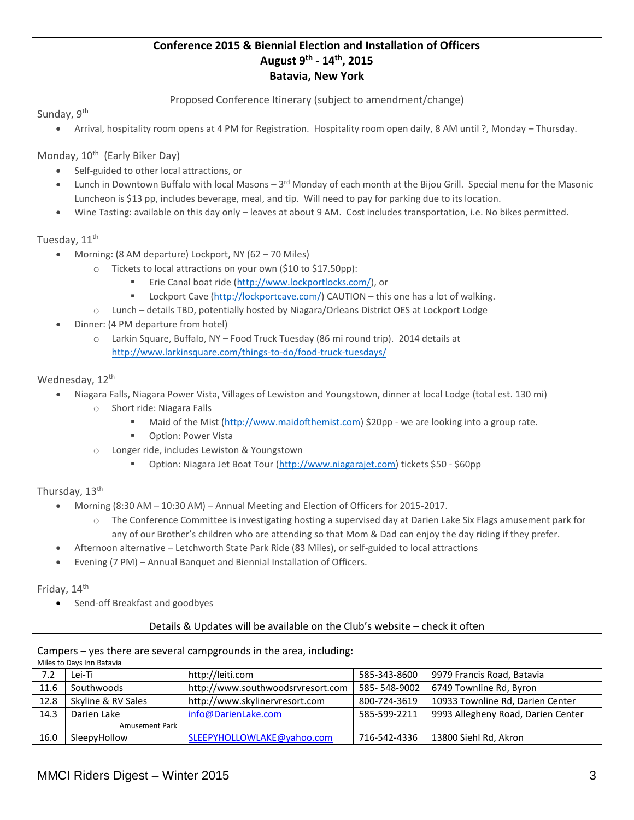### **Conference 2015 & Biennial Election and Installation of Officers August 9th - 14th, 2015 Batavia, New York**

Proposed Conference Itinerary (subject to amendment/change)

Sunday, 9<sup>th</sup>

Arrival, hospitality room opens at 4 PM for Registration. Hospitality room open daily, 8 AM until ?, Monday – Thursday.

Monday, 10<sup>th</sup> (Early Biker Day)

- Self-guided to other local attractions, or
- Lunch in Downtown Buffalo with local Masons 3<sup>rd</sup> Monday of each month at the Bijou Grill. Special menu for the Masonic Luncheon is \$13 pp, includes beverage, meal, and tip. Will need to pay for parking due to its location.
- Wine Tasting: available on this day only leaves at about 9 AM. Cost includes transportation, i.e. No bikes permitted.

#### Tuesday, 11<sup>th</sup>

- Morning: (8 AM departure) Lockport, NY (62 70 Miles)
	- o Tickets to local attractions on your own (\$10 to \$17.50pp):
		- Erie Canal boat ride [\(http://www.lockportlocks.com/\)](http://www.lockportlocks.com/), or
		- Lockport Cave [\(http://lockportcave.com/\)](http://lockportcave.com/) CAUTION this one has a lot of walking.
	- o Lunch details TBD, potentially hosted by Niagara/Orleans District OES at Lockport Lodge
- Dinner: (4 PM departure from hotel)
	- o Larkin Square, Buffalo, NY Food Truck Tuesday (86 mi round trip). 2014 details at <http://www.larkinsquare.com/things-to-do/food-truck-tuesdays/>

#### Wednesday, 12<sup>th</sup>

- Niagara Falls, Niagara Power Vista, Villages of Lewiston and Youngstown, dinner at local Lodge (total est. 130 mi) o Short ride: Niagara Falls
	- Maid of the Mist [\(http://www.maidofthemist.com\)](http://www.maidofthemist.com/) \$20pp we are looking into a group rate.
	- Option: Power Vista
	- Longer ride, includes Lewiston & Youngstown
		- Option: Niagara Jet Boat Tour [\(http://www.niagarajet.com\)](http://www.niagarajet.com/) tickets \$50 \$60pp

#### Thursday, 13<sup>th</sup>

- Morning (8:30 AM 10:30 AM) Annual Meeting and Election of Officers for 2015-2017.
	- o The Conference Committee is investigating hosting a supervised day at Darien Lake Six Flags amusement park for any of our Brother's children who are attending so that Mom & Dad can enjoy the day riding if they prefer.
- Afternoon alternative Letchworth State Park Ride (83 Miles), or self-guided to local attractions
- Evening (7 PM) Annual Banquet and Biennial Installation of Officers.

#### Friday, 14<sup>th</sup>

Send-off Breakfast and goodbyes

#### Details & Updates will be available on the Club's website – check it often

Campers – yes there are several campgrounds in the area, including:

Miles to Days Inn Batavia

| <b>IVINGS</b> to Days in Datavia |                       |                                   |              |                                    |
|----------------------------------|-----------------------|-----------------------------------|--------------|------------------------------------|
| 7.2                              | Lei-Ti                | http://leiti.com                  | 585-343-8600 | 9979 Francis Road, Batavia         |
| 11.6                             | Southwoods            | http://www.southwoodsrvresort.com | 585-548-9002 | 6749 Townline Rd, Byron            |
| 12.8                             | Skyline & RV Sales    | http://www.skylinervresort.com    | 800-724-3619 | 10933 Townline Rd, Darien Center   |
| 14.3                             | Darien Lake           | info@DarienLake.com               | 585-599-2211 | 9993 Allegheny Road, Darien Center |
|                                  | <b>Amusement Park</b> |                                   |              |                                    |
| 16.0                             | SleepyHollow          | SLEEPYHOLLOWLAKE@yahoo.com        | 716-542-4336 | 13800 Siehl Rd, Akron              |